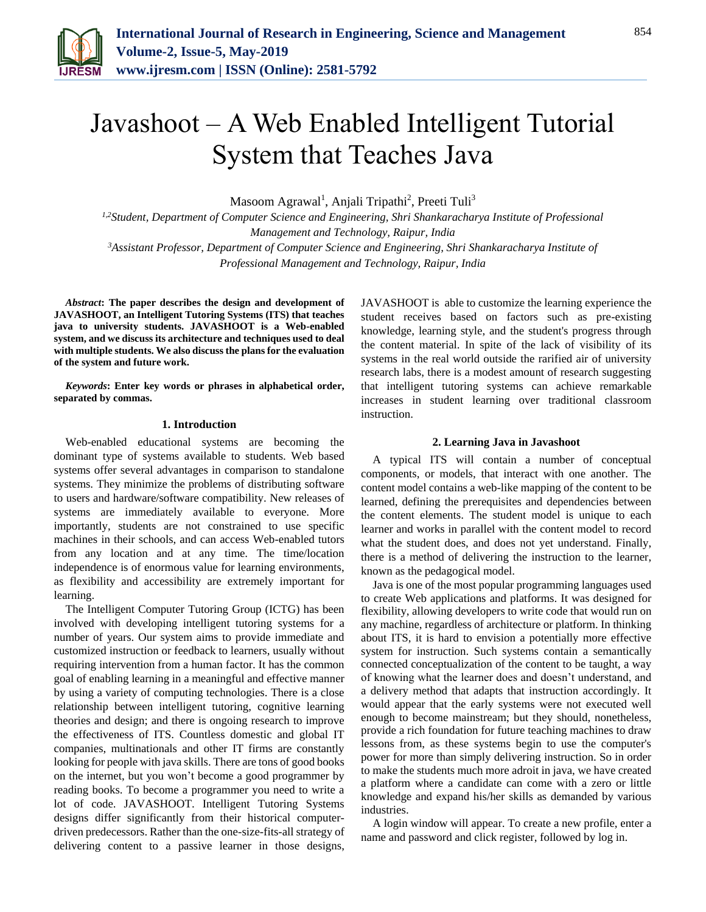

# Javashoot – A Web Enabled Intelligent Tutorial System that Teaches Java

Masoom Agrawal<sup>1</sup>, Anjali Tripathi<sup>2</sup>, Preeti Tuli<sup>3</sup>

*1,2Student, Department of Computer Science and Engineering, Shri Shankaracharya Institute of Professional Management and Technology, Raipur, India <sup>3</sup>Assistant Professor, Department of Computer Science and Engineering, Shri Shankaracharya Institute of* 

*Professional Management and Technology, Raipur, India*

*Abstract***: The paper describes the design and development of JAVASHOOT, an Intelligent Tutoring Systems (ITS) that teaches java to university students. JAVASHOOT is a Web-enabled system, and we discuss its architecture and techniques used to deal with multiple students. We also discuss the plans for the evaluation of the system and future work.**

*Keywords***: Enter key words or phrases in alphabetical order, separated by commas.** 

# **1. Introduction**

Web-enabled educational systems are becoming the dominant type of systems available to students. Web based systems offer several advantages in comparison to standalone systems. They minimize the problems of distributing software to users and hardware/software compatibility. New releases of systems are immediately available to everyone. More importantly, students are not constrained to use specific machines in their schools, and can access Web-enabled tutors from any location and at any time. The time/location independence is of enormous value for learning environments, as flexibility and accessibility are extremely important for learning.

The Intelligent Computer Tutoring Group (ICTG) has been involved with developing intelligent tutoring systems for a number of years. Our system aims to provide immediate and customized instruction or feedback to learners, usually without requiring intervention from a human factor. It has the common goal of enabling learning in a meaningful and effective manner by using a variety of computing technologies. There is a close relationship between intelligent tutoring, cognitive learning theories and design; and there is ongoing research to improve the effectiveness of ITS. Countless domestic and global IT companies, multinationals and other IT firms are constantly looking for people with java skills. There are tons of good books on the internet, but you won't become a good programmer by reading books. To become a programmer you need to write a lot of code. JAVASHOOT. Intelligent Tutoring Systems designs differ significantly from their historical computerdriven predecessors. Rather than the one-size-fits-all strategy of delivering content to a passive learner in those designs,

JAVASHOOT is able to customize the learning experience the student receives based on factors such as pre-existing knowledge, learning style, and the student's progress through the content material. In spite of the lack of visibility of its systems in the real world outside the rarified air of university research labs, there is a modest amount of research suggesting that intelligent tutoring systems can achieve remarkable increases in student learning over traditional classroom instruction.

#### **2. Learning Java in Javashoot**

A typical ITS will contain a number of conceptual components, or models, that interact with one another. The content model contains a web-like mapping of the content to be learned, defining the prerequisites and dependencies between the content elements. The student model is unique to each learner and works in parallel with the content model to record what the student does, and does not yet understand. Finally, there is a method of delivering the instruction to the learner, known as the pedagogical model.

Java is one of the most popular programming languages used to create Web applications and platforms. It was designed for flexibility, allowing developers to write code that would run on any machine, regardless of architecture or platform. In thinking about ITS, it is hard to envision a potentially more effective system for instruction. Such systems contain a semantically connected conceptualization of the content to be taught, a way of knowing what the learner does and doesn't understand, and a delivery method that adapts that instruction accordingly. It would appear that the early systems were not executed well enough to become mainstream; but they should, nonetheless, provide a rich foundation for future teaching machines to draw lessons from, as these systems begin to use the computer's power for more than simply delivering instruction. So in order to make the students much more adroit in java, we have created a platform where a candidate can come with a zero or little knowledge and expand his/her skills as demanded by various industries.

A login window will appear. To create a new profile, enter a name and password and click register, followed by log in.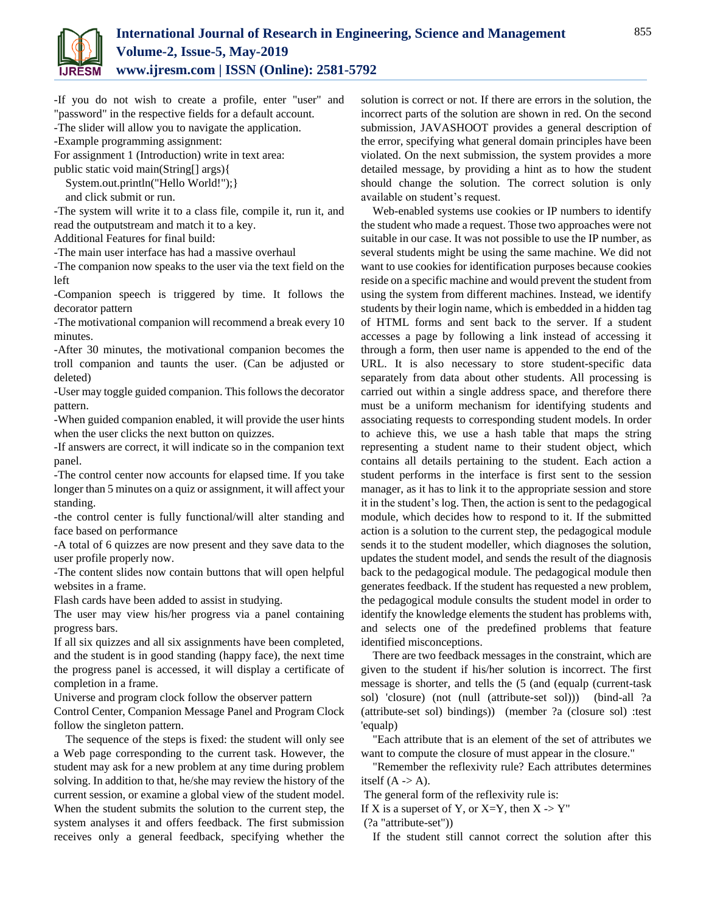

-If you do not wish to create a profile, enter "user" and "password" in the respective fields for a default account. -The slider will allow you to navigate the application.

-Example programming assignment:

For assignment 1 (Introduction) write in text area:

public static void main(String[] args){

System.out.println("Hello World!");}

and click submit or run.

-The system will write it to a class file, compile it, run it, and read the outputstream and match it to a key.

Additional Features for final build:

-The main user interface has had a massive overhaul

-The companion now speaks to the user via the text field on the left

-Companion speech is triggered by time. It follows the decorator pattern

-The motivational companion will recommend a break every 10 minutes.

-After 30 minutes, the motivational companion becomes the troll companion and taunts the user. (Can be adjusted or deleted)

-User may toggle guided companion. This follows the decorator pattern.

-When guided companion enabled, it will provide the user hints when the user clicks the next button on quizzes.

-If answers are correct, it will indicate so in the companion text panel.

-The control center now accounts for elapsed time. If you take longer than 5 minutes on a quiz or assignment, it will affect your standing.

-the control center is fully functional/will alter standing and face based on performance

-A total of 6 quizzes are now present and they save data to the user profile properly now.

-The content slides now contain buttons that will open helpful websites in a frame.

Flash cards have been added to assist in studying.

The user may view his/her progress via a panel containing progress bars.

If all six quizzes and all six assignments have been completed, and the student is in good standing (happy face), the next time the progress panel is accessed, it will display a certificate of completion in a frame.

Universe and program clock follow the observer pattern

Control Center, Companion Message Panel and Program Clock follow the singleton pattern.

The sequence of the steps is fixed: the student will only see a Web page corresponding to the current task. However, the student may ask for a new problem at any time during problem solving. In addition to that, he/she may review the history of the current session, or examine a global view of the student model. When the student submits the solution to the current step, the system analyses it and offers feedback. The first submission receives only a general feedback, specifying whether the solution is correct or not. If there are errors in the solution, the incorrect parts of the solution are shown in red. On the second submission, JAVASHOOT provides a general description of the error, specifying what general domain principles have been violated. On the next submission, the system provides a more detailed message, by providing a hint as to how the student should change the solution. The correct solution is only available on student's request.

Web-enabled systems use cookies or IP numbers to identify the student who made a request. Those two approaches were not suitable in our case. It was not possible to use the IP number, as several students might be using the same machine. We did not want to use cookies for identification purposes because cookies reside on a specific machine and would prevent the student from using the system from different machines. Instead, we identify students by their login name, which is embedded in a hidden tag of HTML forms and sent back to the server. If a student accesses a page by following a link instead of accessing it through a form, then user name is appended to the end of the URL. It is also necessary to store student-specific data separately from data about other students. All processing is carried out within a single address space, and therefore there must be a uniform mechanism for identifying students and associating requests to corresponding student models. In order to achieve this, we use a hash table that maps the string representing a student name to their student object, which contains all details pertaining to the student. Each action a student performs in the interface is first sent to the session manager, as it has to link it to the appropriate session and store it in the student's log. Then, the action is sent to the pedagogical module, which decides how to respond to it. If the submitted action is a solution to the current step, the pedagogical module sends it to the student modeller, which diagnoses the solution, updates the student model, and sends the result of the diagnosis back to the pedagogical module. The pedagogical module then generates feedback. If the student has requested a new problem, the pedagogical module consults the student model in order to identify the knowledge elements the student has problems with, and selects one of the predefined problems that feature identified misconceptions.

There are two feedback messages in the constraint, which are given to the student if his/her solution is incorrect. The first message is shorter, and tells the (5 (and (equalp (current-task sol) 'closure) (not (null (attribute-set sol))) (bind-all ?a (attribute-set sol) bindings)) (member ?a (closure sol) :test 'equalp)

"Each attribute that is an element of the set of attributes we want to compute the closure of must appear in the closure."

"Remember the reflexivity rule? Each attributes determines itself  $(A \rightarrow A)$ .

The general form of the reflexivity rule is:

If X is a superset of Y, or X=Y, then  $X \rightarrow Y''$ 

(?a "attribute-set"))

If the student still cannot correct the solution after this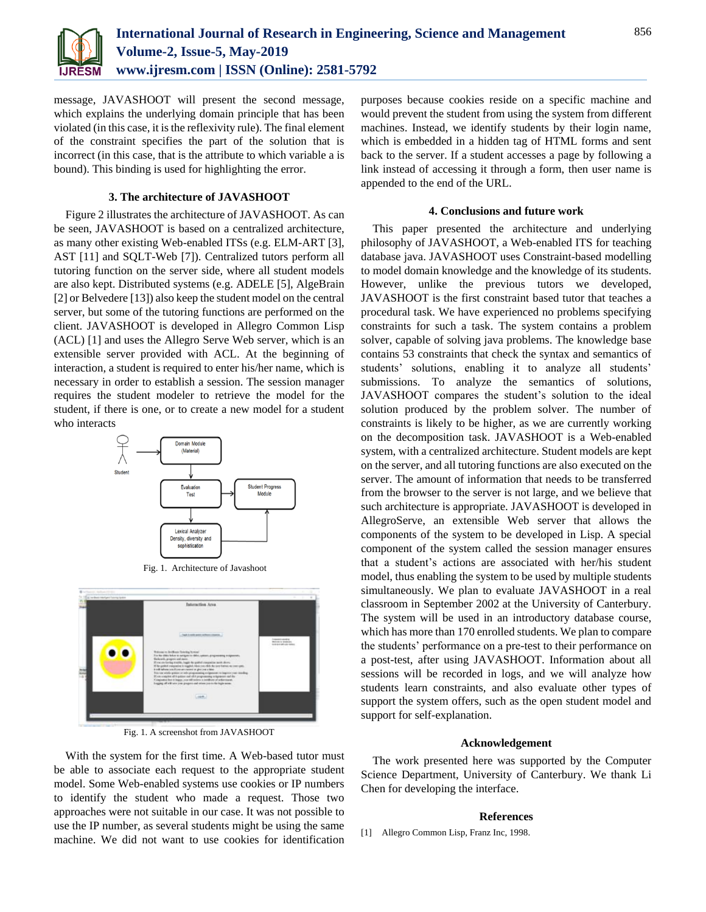

message, JAVASHOOT will present the second message, which explains the underlying domain principle that has been violated (in this case, it is the reflexivity rule). The final element of the constraint specifies the part of the solution that is incorrect (in this case, that is the attribute to which variable a is bound). This binding is used for highlighting the error.

# **3. The architecture of JAVASHOOT**

Figure 2 illustrates the architecture of JAVASHOOT. As can be seen, JAVASHOOT is based on a centralized architecture, as many other existing Web-enabled ITSs (e.g. ELM-ART [3], AST [11] and SQLT-Web [7]). Centralized tutors perform all tutoring function on the server side, where all student models are also kept. Distributed systems (e.g. ADELE [5], AlgeBrain [2] or Belvedere [13]) also keep the student model on the central server, but some of the tutoring functions are performed on the client. JAVASHOOT is developed in Allegro Common Lisp (ACL) [1] and uses the Allegro Serve Web server, which is an extensible server provided with ACL. At the beginning of interaction, a student is required to enter his/her name, which is necessary in order to establish a session. The session manager requires the student modeler to retrieve the model for the student, if there is one, or to create a new model for a student who interacts





Fig. 1. A screenshot from JAVASHOOT

With the system for the first time. A Web-based tutor must be able to associate each request to the appropriate student model. Some Web-enabled systems use cookies or IP numbers to identify the student who made a request. Those two approaches were not suitable in our case. It was not possible to use the IP number, as several students might be using the same machine. We did not want to use cookies for identification purposes because cookies reside on a specific machine and would prevent the student from using the system from different machines. Instead, we identify students by their login name, which is embedded in a hidden tag of HTML forms and sent back to the server. If a student accesses a page by following a link instead of accessing it through a form, then user name is appended to the end of the URL.

# **4. Conclusions and future work**

This paper presented the architecture and underlying philosophy of JAVASHOOT, a Web-enabled ITS for teaching database java. JAVASHOOT uses Constraint-based modelling to model domain knowledge and the knowledge of its students. However, unlike the previous tutors we developed, JAVASHOOT is the first constraint based tutor that teaches a procedural task. We have experienced no problems specifying constraints for such a task. The system contains a problem solver, capable of solving java problems. The knowledge base contains 53 constraints that check the syntax and semantics of students' solutions, enabling it to analyze all students' submissions. To analyze the semantics of solutions, JAVASHOOT compares the student's solution to the ideal solution produced by the problem solver. The number of constraints is likely to be higher, as we are currently working on the decomposition task. JAVASHOOT is a Web-enabled system, with a centralized architecture. Student models are kept on the server, and all tutoring functions are also executed on the server. The amount of information that needs to be transferred from the browser to the server is not large, and we believe that such architecture is appropriate. JAVASHOOT is developed in AllegroServe, an extensible Web server that allows the components of the system to be developed in Lisp. A special component of the system called the session manager ensures that a student's actions are associated with her/his student model, thus enabling the system to be used by multiple students simultaneously. We plan to evaluate JAVASHOOT in a real classroom in September 2002 at the University of Canterbury. The system will be used in an introductory database course, which has more than 170 enrolled students. We plan to compare the students' performance on a pre-test to their performance on a post-test, after using JAVASHOOT. Information about all sessions will be recorded in logs, and we will analyze how students learn constraints, and also evaluate other types of support the system offers, such as the open student model and support for self-explanation.

#### **Acknowledgement**

The work presented here was supported by the Computer Science Department, University of Canterbury. We thank Li Chen for developing the interface.

#### **References**

[1] Allegro Common Lisp, Franz Inc, 1998.